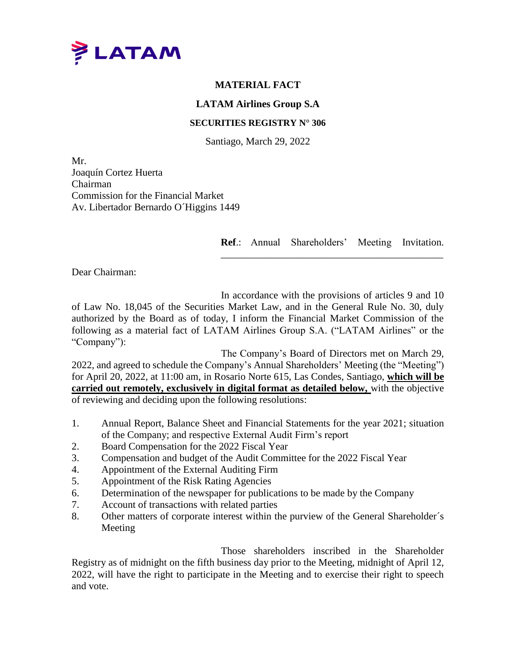

## **MATERIAL FACT**

## **LATAM Airlines Group S.A**

## **SECURITIES REGISTRY N° 306**

Santiago, March 29, 2022

Mr. Joaquín Cortez Huerta Chairman Commission for the Financial Market Av. Libertador Bernardo O´Higgins 1449

> **Ref**.: Annual Shareholders' Meeting Invitation. \_\_\_\_\_\_\_\_\_\_\_\_\_\_\_\_\_\_\_\_\_\_\_\_\_\_\_\_\_\_\_\_\_\_\_\_\_\_\_\_\_\_\_\_

Dear Chairman:

In accordance with the provisions of articles 9 and 10 of Law No. 18,045 of the Securities Market Law, and in the General Rule No. 30, duly authorized by the Board as of today, I inform the Financial Market Commission of the following as a material fact of LATAM Airlines Group S.A. ("LATAM Airlines" or the "Company"):

The Company's Board of Directors met on March 29, 2022, and agreed to schedule the Company's Annual Shareholders' Meeting (the "Meeting") for April 20, 2022, at 11:00 am, in Rosario Norte 615, Las Condes, Santiago, **which will be carried out remotely, exclusively in digital format as detailed below,** with the objective of reviewing and deciding upon the following resolutions:

- 1. Annual Report, Balance Sheet and Financial Statements for the year 2021; situation of the Company; and respective External Audit Firm's report
- 2. Board Compensation for the 2022 Fiscal Year
- 3. Compensation and budget of the Audit Committee for the 2022 Fiscal Year
- 4. Appointment of the External Auditing Firm
- 5. Appointment of the Risk Rating Agencies
- 6. Determination of the newspaper for publications to be made by the Company
- 7. Account of transactions with related parties
- 8. Other matters of corporate interest within the purview of the General Shareholder´s Meeting

Those shareholders inscribed in the Shareholder Registry as of midnight on the fifth business day prior to the Meeting, midnight of April 12, 2022, will have the right to participate in the Meeting and to exercise their right to speech and vote.